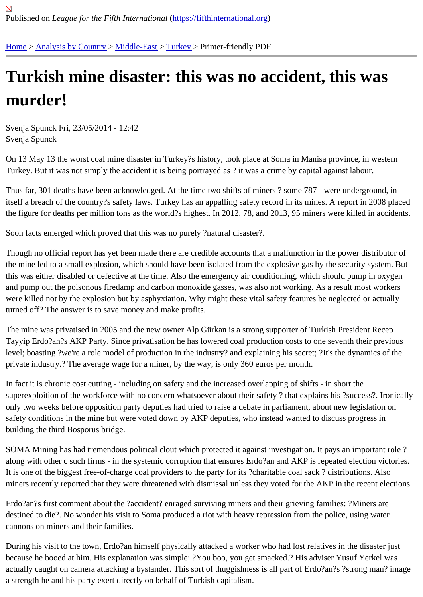## [Tur](https://fifthinternational.org/)[kish mine](https://fifthinternational.org/category/1) [disaste](https://fifthinternational.org/category/1/178)[r: th](https://fifthinternational.org/category/1/178/174)is was no accident, this was murder!

Svenja Spunck Fri, 23/05/2014 - 12:42 Svenja Spunck

On 13 May 13 the worst coal mine disaster in Turkey?s history, took place at Soma in Manisa province, in western Turkey. But it was not simply the accident it is being portrayed as ? it was a crime by capital against labour.

Thus far, 301 deaths have been acknowledged. At the time two shifts of miners ? some 787 - were underground, i itself a breach of the country?s safety laws. Turkey has an appalling safety record in its mines. A report in 2008 pla the figure for deaths per million tons as the world?s highest. In 2012, 78, and 2013, 95 miners were killed in accide

Soon facts emerged which proved that this was no purely ?natural disaster?.

Though no official report has yet been made there are credible accounts that a malfunction in the power distributor the mine led to a small explosion, which should have been isolated from the explosive gas by the security system. this was either disabled or defective at the time. Also the emergency air conditioning, which should pump in oxyge and pump out the poisonous firedamp and carbon monoxide gasses, was also not working. As a result most worke were killed not by the explosion but by asphyxiation. Why might these vital safety features be neglected or actually turned off? The answer is to save money and make profits.

The mine was privatised in 2005 and the new owner Alp Gürkan is a strong supporter of Turkish President Recep Tayyip Erdo?an?s AKP Party. Since privatisation he has lowered coal production costs to one seventh their previc level; boasting ?we're a role model of production in the industry? and explaining his secret; ?It's the dynamics of th private industry.? The average wage for a miner, by the way, is only 360 euros per month.

In fact it is chronic cost cutting - including on safety and the increased overlapping of shifts - in short the superexploition of the workforce with no concern whatsoever about their safety ? that explains his ?success?. Iron only two weeks before opposition party deputies had tried to raise a debate in parliament, about new legislation or safety conditions in the mine but were voted down by AKP deputies, who instead wanted to discuss progress in building the third Bosporus bridge.

SOMA Mining has had tremendous political clout which protected it against investigation. It pays an important role along with other c such firms - in the systemic corruption that ensures Erdo?an and AKP is repeated election victo It is one of the biggest free-of-charge coal providers to the party for its ?charitable coal sack ? distributions. Also miners recently reported that they were threatened with dismissal unless they voted for the AKP in the recent elect

Erdo?an?s first comment about the ?accident? enraged surviving miners and their grieving families: ?Miners are destined to die?. No wonder his visit to Soma produced a riot with heavy repression from the police, using water cannons on miners and their families.

During his visit to the town, Erdo?an himself physically attacked a worker who had lost relatives in the disaster just because he booed at him. His explanation was simple: ?You boo, you get smacked.? His adviser Yusuf Yerkel wa actually caught on camera attacking a bystander. This sort of thuggishness is all part of Erdo?an?s ?strong man? a strength he and his party exert directly on behalf of Turkish capitalism.